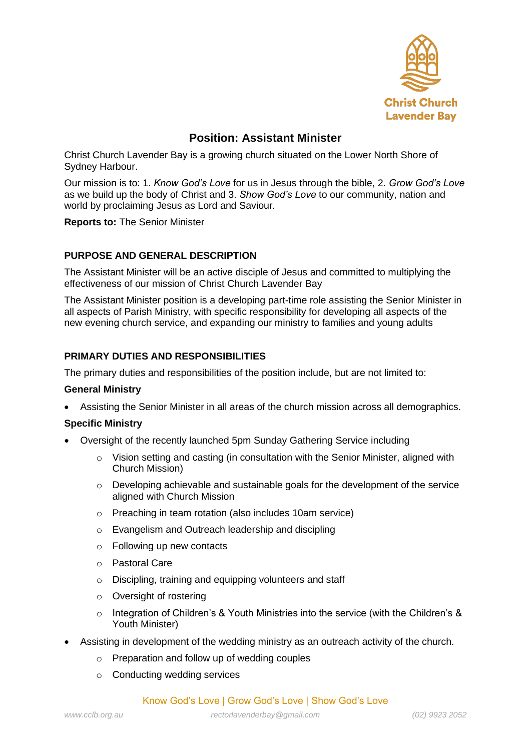

# **Position: Assistant Minister**

Christ Church Lavender Bay is a growing church situated on the Lower North Shore of Sydney Harbour.

Our mission is to: 1. *Know God's Love* for us in Jesus through the bible, 2. *Grow God's Love* as we build up the body of Christ and 3. *Show God's Love* to our community, nation and world by proclaiming Jesus as Lord and Saviour.

**Reports to:** The Senior Minister

## **PURPOSE AND GENERAL DESCRIPTION**

The Assistant Minister will be an active disciple of Jesus and committed to multiplying the effectiveness of our mission of Christ Church Lavender Bay

The Assistant Minister position is a developing part-time role assisting the Senior Minister in all aspects of Parish Ministry, with specific responsibility for developing all aspects of the new evening church service, and expanding our ministry to families and young adults

## **PRIMARY DUTIES AND RESPONSIBILITIES**

The primary duties and responsibilities of the position include, but are not limited to:

### **General Ministry**

• Assisting the Senior Minister in all areas of the church mission across all demographics.

### **Specific Ministry**

- Oversight of the recently launched 5pm Sunday Gathering Service including
	- $\circ$  Vision setting and casting (in consultation with the Senior Minister, aligned with Church Mission)
	- $\circ$  Developing achievable and sustainable goals for the development of the service aligned with Church Mission
	- o Preaching in team rotation (also includes 10am service)
	- o Evangelism and Outreach leadership and discipling
	- o Following up new contacts
	- o Pastoral Care
	- o Discipling, training and equipping volunteers and staff
	- o Oversight of rostering
	- $\circ$  Integration of Children's & Youth Ministries into the service (with the Children's & Youth Minister)
- Assisting in development of the wedding ministry as an outreach activity of the church.
	- o Preparation and follow up of wedding couples
	- o Conducting wedding services